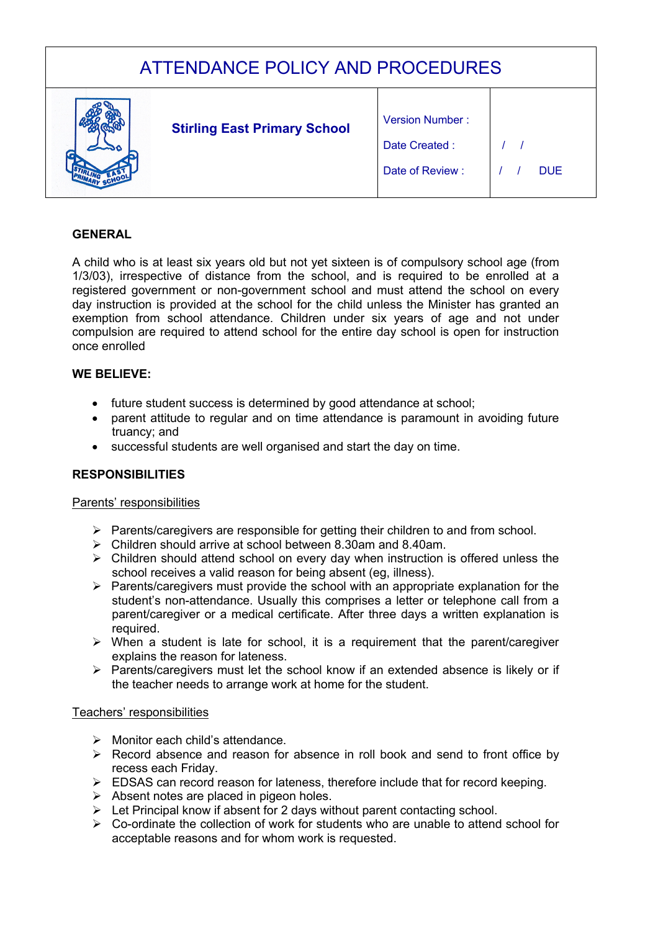| <b>ATTENDANCE POLICY AND PROCEDURES</b> |  |                                     |                                                            |            |  |
|-----------------------------------------|--|-------------------------------------|------------------------------------------------------------|------------|--|
|                                         |  | <b>Stirling East Primary School</b> | <b>Version Number:</b><br>Date Created:<br>Date of Review: | <b>DUE</b> |  |

# **GENERAL**

A child who is at least six years old but not yet sixteen is of compulsory school age (from 1/3/03), irrespective of distance from the school, and is required to be enrolled at a registered government or non-government school and must attend the school on every day instruction is provided at the school for the child unless the Minister has granted an exemption from school attendance. Children under six years of age and not under compulsion are required to attend school for the entire day school is open for instruction once enrolled

### **WE BELIEVE:**

- future student success is determined by good attendance at school;
- parent attitude to regular and on time attendance is paramount in avoiding future truancy; and
- successful students are well organised and start the day on time.

# **RESPONSIBILITIES**

### Parents' responsibilities

- $\triangleright$  Parents/caregivers are responsible for getting their children to and from school.
- $\triangleright$  Children should arrive at school between 8.30am and 8.40am.
- $\triangleright$  Children should attend school on every day when instruction is offered unless the school receives a valid reason for being absent (eg, illness).
- $\triangleright$  Parents/caregivers must provide the school with an appropriate explanation for the student's non-attendance. Usually this comprises a letter or telephone call from a parent/caregiver or a medical certificate. After three days a written explanation is required.
- $\triangleright$  When a student is late for school, it is a requirement that the parent/caregiver explains the reason for lateness.
- $\triangleright$  Parents/caregivers must let the school know if an extended absence is likely or if the teacher needs to arrange work at home for the student.

### Teachers' responsibilities

- $\triangleright$  Monitor each child's attendance.
- $\triangleright$  Record absence and reason for absence in roll book and send to front office by recess each Friday.
- $\triangleright$  EDSAS can record reason for lateness, therefore include that for record keeping.
- $\triangleright$  Absent notes are placed in pigeon holes.
- $\triangleright$  Let Principal know if absent for 2 days without parent contacting school.
- $\triangleright$  Co-ordinate the collection of work for students who are unable to attend school for acceptable reasons and for whom work is requested.